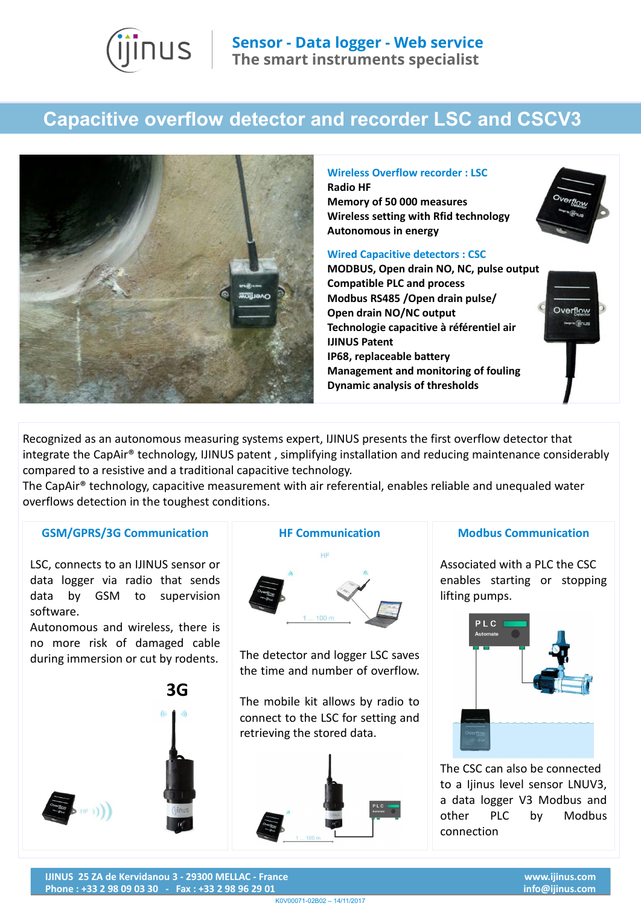

## **Capacitive overflow detector and recorder LSC and CSCV3**



## **Radio HF Memory of 50 000 measures Wireless setting with Rfid technology Autonomous in energy Wired Capacitive detectors : CSC MODBUS, Open drain NO, NC, pulse output**

**Wireless Overflow recorder : LSC**

**Compatible PLC and process Modbus RS485 /Open drain pulse/ Open drain NO/NC output Technologie capacitive à référentiel air IJINUS Patent IP68, replaceable battery Management and monitoring of fouling Dynamic analysis of thresholds** 

Recognized as an autonomous measuring systems expert, IJINUS presents the first overflow detector that integrate the CapAir® technology, IJINUS patent , simplifying installation and reducing maintenance considerably compared to a resistive and a traditional capacitive technology.

The CapAir® technology, capacitive measurement with air referential, enables reliable and unequaled water overflows detection in the toughest conditions.

## **GSM/GPRS/3G Communication**

LSC, connects to an IJINUS sensor or data logger via radio that sends data by GSM to supervision software.

Autonomous and wireless, there is no more risk of damaged cable during immersion or cut by rodents.





The detector and logger LSC saves the time and number of overflow.

The mobile kit allows by radio to connect to the LSC for setting and retrieving the stored data.



## **Modbus Communication**

tlon

Overflow » Ginu

Associated with a PLC the CSC enables starting or stopping lifting pumps.



The CSC can also be connected to a Ijinus level sensor LNUV3, a data logger V3 Modbus and other PLC by Modbus connection

**IJINUS 25 ZA de Kervidanou 3 - 29300 MELLAC - France Phone : +33 2 98 09 03 30 - Fax : +33 2 98 96 29 01**

K0V00071-02B02 – 14/11/2017